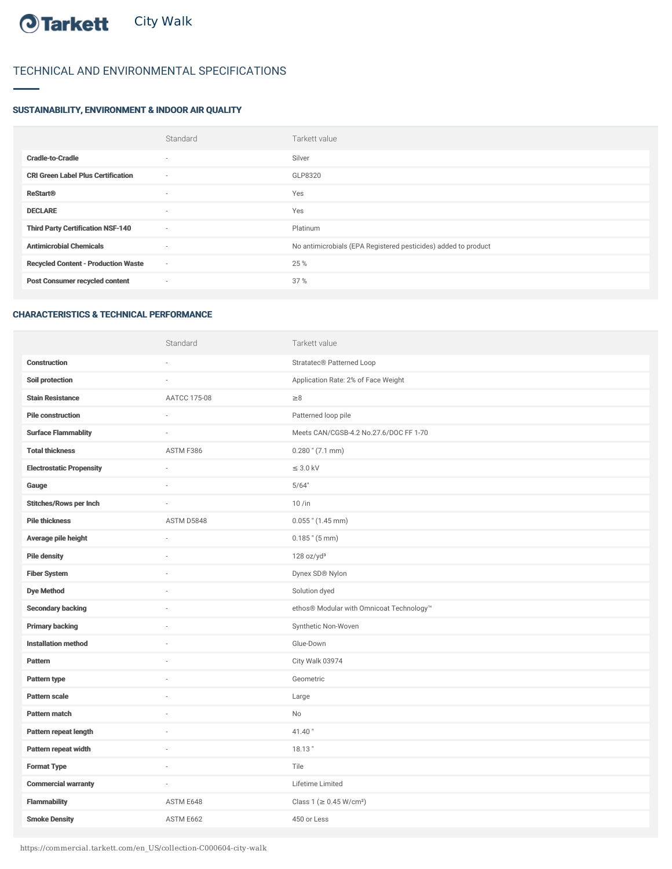## O Tarkett City Walk

## TECHNICAL AND ENVIRONMENTAL SPECIFICATIONS

## SUSTAINABILITY, ENVIRONMENT & INDOOR AIR QUALITY

|                                            | Standard                 | Tarkett value                                                  |
|--------------------------------------------|--------------------------|----------------------------------------------------------------|
| <b>Cradle-to-Cradle</b>                    | $\sim$                   | Silver                                                         |
| <b>CRI Green Label Plus Certification</b>  | $\sim$                   | GLP8320                                                        |
| <b>ReStart®</b>                            | $\overline{\phantom{a}}$ | Yes                                                            |
| <b>DECLARE</b>                             | $\sim$                   | Yes                                                            |
| <b>Third Party Certification NSF-140</b>   | $\sim$                   | Platinum                                                       |
| <b>Antimicrobial Chemicals</b>             | $\overline{\phantom{a}}$ | No antimicrobials (EPA Registered pesticides) added to product |
| <b>Recycled Content - Production Waste</b> | $\sim$                   | 25 %                                                           |
| <b>Post Consumer recycled content</b>      | $\sim$                   | 37%                                                            |
|                                            |                          |                                                                |

## CHARACTERISTICS & TECHNICAL PERFORMANCE

|                                 | Standard     | Tarkett value                            |
|---------------------------------|--------------|------------------------------------------|
| <b>Construction</b>             |              | Stratatec® Patterned Loop                |
| Soil protection                 | L            | Application Rate: 2% of Face Weight      |
| <b>Stain Resistance</b>         | AATCC 175-08 | $\geq 8$                                 |
| <b>Pile construction</b>        | $\sim$       | Patterned loop pile                      |
| <b>Surface Flammablity</b>      |              | Meets CAN/CGSB-4.2 No.27.6/DOC FF 1-70   |
| <b>Total thickness</b>          | ASTM F386    | $0.280$ " $(7.1$ mm)                     |
| <b>Electrostatic Propensity</b> | ÷,           | $\leq$ 3.0 kV                            |
| Gauge                           |              | 5/64"                                    |
| <b>Stitches/Rows per Inch</b>   |              | $10/$ in                                 |
| <b>Pile thickness</b>           | ASTM D5848   | $0.055$ " (1.45 mm)                      |
| Average pile height             | ä,           | $0.185$ " (5 mm)                         |
| <b>Pile density</b>             |              | 128 oz/yd <sup>3</sup>                   |
| <b>Fiber System</b>             |              | Dynex SD® Nylon                          |
| <b>Dye Method</b>               | ×,           | Solution dyed                            |
| <b>Secondary backing</b>        | ä,           | ethos® Modular with Omnicoat Technology™ |
| <b>Primary backing</b>          | ä,           | Synthetic Non-Woven                      |
| <b>Installation method</b>      |              | Glue-Down                                |
| Pattern                         | L            | City Walk 03974                          |
| Pattern type                    | $\sim$       | Geometric                                |
| Pattern scale                   | ä,           | Large                                    |
| Pattern match                   |              | No                                       |
| Pattern repeat length           | ä,           | 41.40"                                   |
| Pattern repeat width            | ä,           | 18.13"                                   |
| <b>Format Type</b>              | i.           | Tile                                     |
| <b>Commercial warranty</b>      | i.           | Lifetime Limited                         |
| <b>Flammability</b>             | ASTM E648    | Class 1 (≥ 0.45 W/cm <sup>2</sup> )      |
| <b>Smoke Density</b>            | ASTM E662    | 450 or Less                              |

https://commercial.tarkett.com/en\_US/collection-C000604-city-walk